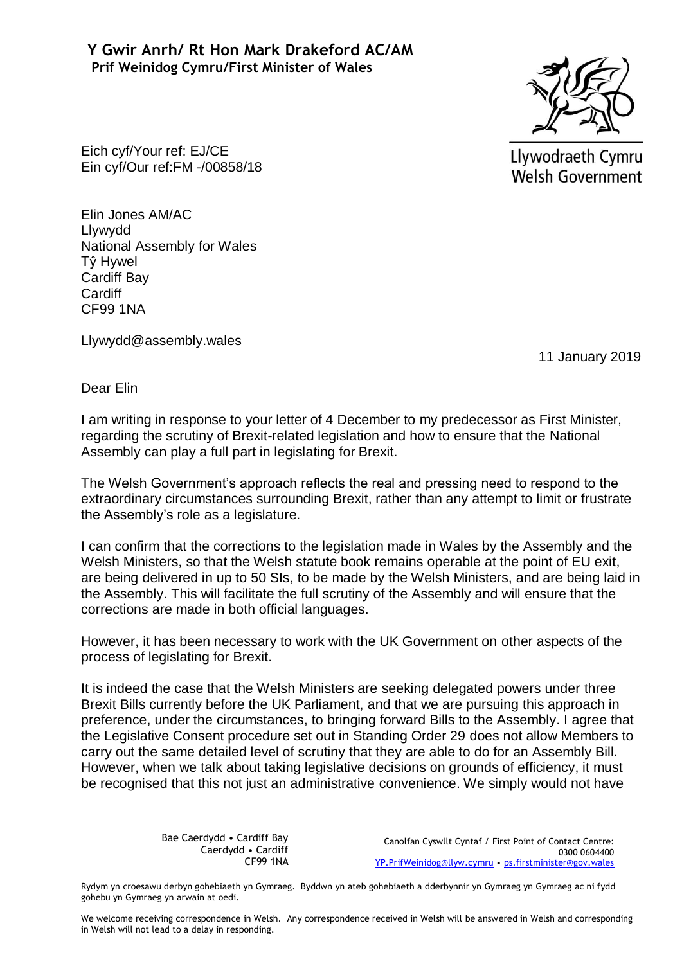## **Y Gwir Anrh/ Rt Hon Mark Drakeford AC/AM Prif Weinidog Cymru/First Minister of Wales**



Llywodraeth Cymru **Welsh Government** 

Eich cyf/Your ref: EJ/CE Ein cyf/Our ref:FM -/00858/18

Elin Jones AM/AC Llywydd National Assembly for Wales Tŷ Hywel Cardiff Bay **Cardiff** CF99 1NA

Llywydd@assembly.wales

11 January 2019

Dear Elin

I am writing in response to your letter of 4 December to my predecessor as First Minister, regarding the scrutiny of Brexit-related legislation and how to ensure that the National Assembly can play a full part in legislating for Brexit.

The Welsh Government's approach reflects the real and pressing need to respond to the extraordinary circumstances surrounding Brexit, rather than any attempt to limit or frustrate the Assembly's role as a legislature.

I can confirm that the corrections to the legislation made in Wales by the Assembly and the Welsh Ministers, so that the Welsh statute book remains operable at the point of EU exit, are being delivered in up to 50 SIs, to be made by the Welsh Ministers, and are being laid in the Assembly. This will facilitate the full scrutiny of the Assembly and will ensure that the corrections are made in both official languages.

However, it has been necessary to work with the UK Government on other aspects of the process of legislating for Brexit.

It is indeed the case that the Welsh Ministers are seeking delegated powers under three Brexit Bills currently before the UK Parliament, and that we are pursuing this approach in preference, under the circumstances, to bringing forward Bills to the Assembly. I agree that the Legislative Consent procedure set out in Standing Order 29 does not allow Members to carry out the same detailed level of scrutiny that they are able to do for an Assembly Bill. However, when we talk about taking legislative decisions on grounds of efficiency, it must be recognised that this not just an administrative convenience. We simply would not have

> Bae Caerdydd • Cardiff Bay Caerdydd • Cardiff CF99 1NA

Canolfan Cyswllt Cyntaf / First Point of Contact Centre: 0300 0604400 [YP.PrifWeinidog@llyw.cymru](mailto:YP.PrifWeinidog@llyw.cymru) • [ps.firstminister@gov.wales](mailto:ps.firstminister@gov.wales)

Rydym yn croesawu derbyn gohebiaeth yn Gymraeg. Byddwn yn ateb gohebiaeth a dderbynnir yn Gymraeg yn Gymraeg ac ni fydd gohebu yn Gymraeg yn arwain at oedi.

We welcome receiving correspondence in Welsh. Any correspondence received in Welsh will be answered in Welsh and corresponding in Welsh will not lead to a delay in responding.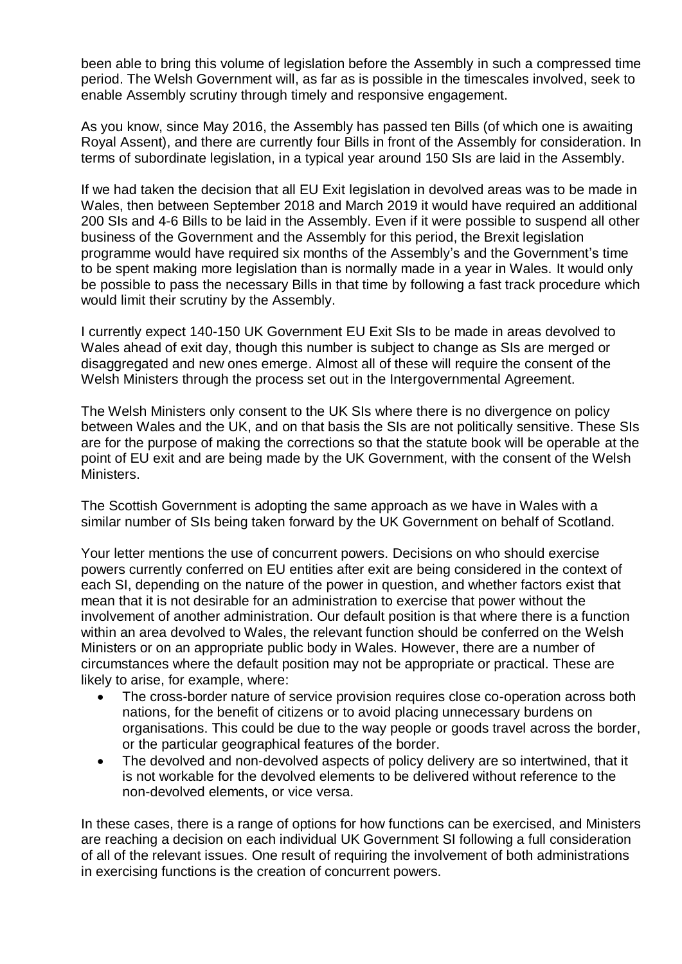been able to bring this volume of legislation before the Assembly in such a compressed time period. The Welsh Government will, as far as is possible in the timescales involved, seek to enable Assembly scrutiny through timely and responsive engagement.

As you know, since May 2016, the Assembly has passed ten Bills (of which one is awaiting Royal Assent), and there are currently four Bills in front of the Assembly for consideration. In terms of subordinate legislation, in a typical year around 150 SIs are laid in the Assembly.

If we had taken the decision that all EU Exit legislation in devolved areas was to be made in Wales, then between September 2018 and March 2019 it would have required an additional 200 SIs and 4-6 Bills to be laid in the Assembly. Even if it were possible to suspend all other business of the Government and the Assembly for this period, the Brexit legislation programme would have required six months of the Assembly's and the Government's time to be spent making more legislation than is normally made in a year in Wales. It would only be possible to pass the necessary Bills in that time by following a fast track procedure which would limit their scrutiny by the Assembly.

I currently expect 140-150 UK Government EU Exit SIs to be made in areas devolved to Wales ahead of exit day, though this number is subject to change as SIs are merged or disaggregated and new ones emerge. Almost all of these will require the consent of the Welsh Ministers through the process set out in the Intergovernmental Agreement.

The Welsh Ministers only consent to the UK SIs where there is no divergence on policy between Wales and the UK, and on that basis the SIs are not politically sensitive. These SIs are for the purpose of making the corrections so that the statute book will be operable at the point of EU exit and are being made by the UK Government, with the consent of the Welsh Ministers.

The Scottish Government is adopting the same approach as we have in Wales with a similar number of SIs being taken forward by the UK Government on behalf of Scotland.

Your letter mentions the use of concurrent powers. Decisions on who should exercise powers currently conferred on EU entities after exit are being considered in the context of each SI, depending on the nature of the power in question, and whether factors exist that mean that it is not desirable for an administration to exercise that power without the involvement of another administration. Our default position is that where there is a function within an area devolved to Wales, the relevant function should be conferred on the Welsh Ministers or on an appropriate public body in Wales. However, there are a number of circumstances where the default position may not be appropriate or practical. These are likely to arise, for example, where:

- The cross-border nature of service provision requires close co-operation across both nations, for the benefit of citizens or to avoid placing unnecessary burdens on organisations. This could be due to the way people or goods travel across the border, or the particular geographical features of the border.
- The devolved and non-devolved aspects of policy delivery are so intertwined, that it is not workable for the devolved elements to be delivered without reference to the non-devolved elements, or vice versa.

In these cases, there is a range of options for how functions can be exercised, and Ministers are reaching a decision on each individual UK Government SI following a full consideration of all of the relevant issues. One result of requiring the involvement of both administrations in exercising functions is the creation of concurrent powers.